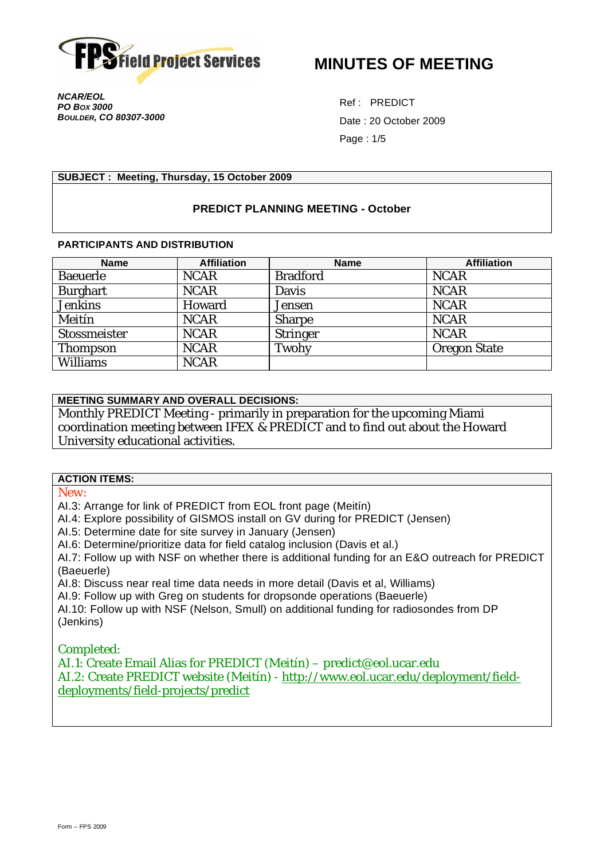

**MINUTES OF MEETING** 

*NCAR/EOL PO BOX 3000 BOULDER, CO 80307-3000* 

Ref : PREDICT Date : 20 October 2009 Page : 1/5

### **SUBJECT : Meeting, Thursday, 15 October 2009**

## **PREDICT PLANNING MEETING - October**

#### **PARTICIPANTS AND DISTRIBUTION**

| <b>Name</b>     | <b>Affiliation</b> | <b>Name</b>     | <b>Affiliation</b> |
|-----------------|--------------------|-----------------|--------------------|
| <b>Baeuerle</b> | <b>NCAR</b>        | <b>Bradford</b> | <b>NCAR</b>        |
| <b>Burghart</b> | <b>NCAR</b>        | Davis           | <b>NCAR</b>        |
| <b>Jenkins</b>  | Howard             | Jensen          | <b>NCAR</b>        |
| Meitín          | <b>NCAR</b>        | Sharpe          | <b>NCAR</b>        |
| Stossmeister    | <b>NCAR</b>        | Stringer        | <b>NCAR</b>        |
| Thompson        | <b>NCAR</b>        | Twohy           | Oregon State       |
| <b>Williams</b> | <b>NCAR</b>        |                 |                    |

# **MEETING SUMMARY AND OVERALL DECISIONS:**

Monthly PREDICT Meeting - primarily in preparation for the upcoming Miami coordination meeting between IFEX & PREDICT and to find out about the Howard University educational activities.

### **ACTION ITEMS:**

*New:* 

AI.3: Arrange for link of PREDICT from EOL front page (Meitín)

AI.4: Explore possibility of GISMOS install on GV during for PREDICT (Jensen)

AI.5: Determine date for site survey in January (Jensen)

AI.6: Determine/prioritize data for field catalog inclusion (Davis et al.)

AI.7: Follow up with NSF on whether there is additional funding for an E&O outreach for PREDICT (Baeuerle)

AI.8: Discuss near real time data needs in more detail (Davis et al, Williams)

AI.9: Follow up with Greg on students for dropsonde operations (Baeuerle)

AI.10: Follow up with NSF (Nelson, Smull) on additional funding for radiosondes from DP (Jenkins)

*Completed:* 

AI.1: Create Email Alias for PREDICT (Meitín) – predict@eol.ucar.edu AI.2: Create PREDICT website (Meitín) - http://www.eol.ucar.edu/deployment/fielddeployments/field-projects/predict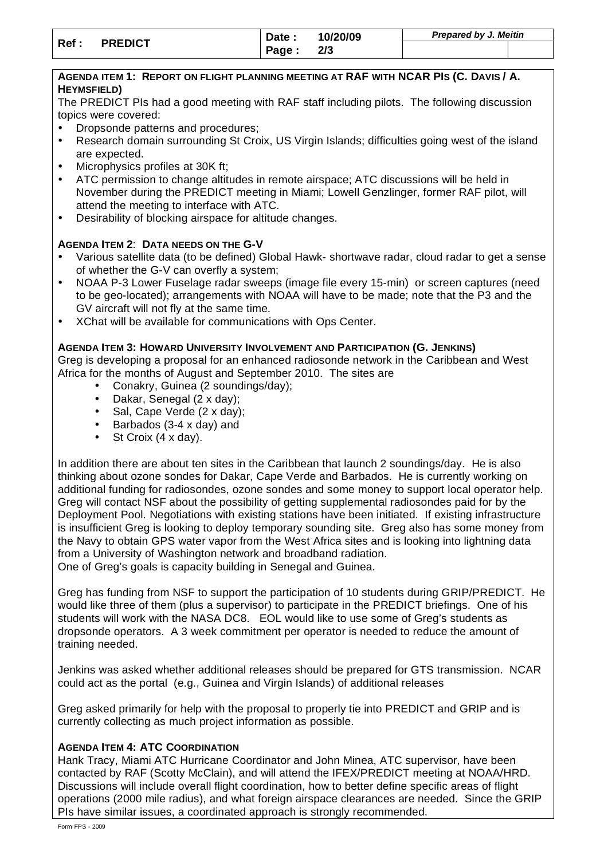| Ref : | <b>PREDICT</b> | Date: | 10/20/09 | Prepared by J. Meitin |  |  |
|-------|----------------|-------|----------|-----------------------|--|--|
|       |                | Page: | 2/3      |                       |  |  |

#### **AGENDA ITEM 1: REPORT ON FLIGHT PLANNING MEETING AT RAF WITH NCAR PIS (C. DAVIS / A. HEYMSFIELD)**

The PREDICT PIs had a good meeting with RAF staff including pilots. The following discussion topics were covered:

- Dropsonde patterns and procedures;
- Research domain surrounding St Croix, US Virgin Islands; difficulties going west of the island are expected.
- Microphysics profiles at 30K ft;
- ATC permission to change altitudes in remote airspace; ATC discussions will be held in November during the PREDICT meeting in Miami; Lowell Genzlinger, former RAF pilot, will attend the meeting to interface with ATC.
- Desirability of blocking airspace for altitude changes.

### **AGENDA ITEM 2**: **DATA NEEDS ON THE G-V**

- Various satellite data (to be defined) Global Hawk- shortwave radar, cloud radar to get a sense of whether the G-V can overfly a system;
- NOAA P-3 Lower Fuselage radar sweeps (image file every 15-min) or screen captures (need to be geo-located); arrangements with NOAA will have to be made; note that the P3 and the GV aircraft will not fly at the same time.
- XChat will be available for communications with Ops Center.

## **AGENDA ITEM 3: HOWARD UNIVERSITY INVOLVEMENT AND PARTICIPATION (G. JENKINS)**

Greg is developing a proposal for an enhanced radiosonde network in the Caribbean and West Africa for the months of August and September 2010. The sites are

- Conakry, Guinea (2 soundings/day);
- Dakar, Senegal (2 x day);
- Sal, Cape Verde (2 x day);
- Barbados (3-4 x day) and
- St Croix (4 x day).

In addition there are about ten sites in the Caribbean that launch 2 soundings/day. He is also thinking about ozone sondes for Dakar, Cape Verde and Barbados. He is currently working on additional funding for radiosondes, ozone sondes and some money to support local operator help. Greg will contact NSF about the possibility of getting supplemental radiosondes paid for by the Deployment Pool. Negotiations with existing stations have been initiated. If existing infrastructure is insufficient Greg is looking to deploy temporary sounding site. Greg also has some money from the Navy to obtain GPS water vapor from the West Africa sites and is looking into lightning data from a University of Washington network and broadband radiation. One of Greg's goals is capacity building in Senegal and Guinea.

Greg has funding from NSF to support the participation of 10 students during GRIP/PREDICT. He would like three of them (plus a supervisor) to participate in the PREDICT briefings. One of his students will work with the NASA DC8. EOL would like to use some of Greg's students as dropsonde operators. A 3 week commitment per operator is needed to reduce the amount of training needed.

Jenkins was asked whether additional releases should be prepared for GTS transmission. NCAR could act as the portal (e.g., Guinea and Virgin Islands) of additional releases

Greg asked primarily for help with the proposal to properly tie into PREDICT and GRIP and is currently collecting as much project information as possible.

#### **AGENDA ITEM 4: ATC COORDINATION**

Hank Tracy, Miami ATC Hurricane Coordinator and John Minea, ATC supervisor, have been contacted by RAF (Scotty McClain), and will attend the IFEX/PREDICT meeting at NOAA/HRD. Discussions will include overall flight coordination, how to better define specific areas of flight operations (2000 mile radius), and what foreign airspace clearances are needed. Since the GRIP PIs have similar issues, a coordinated approach is strongly recommended.